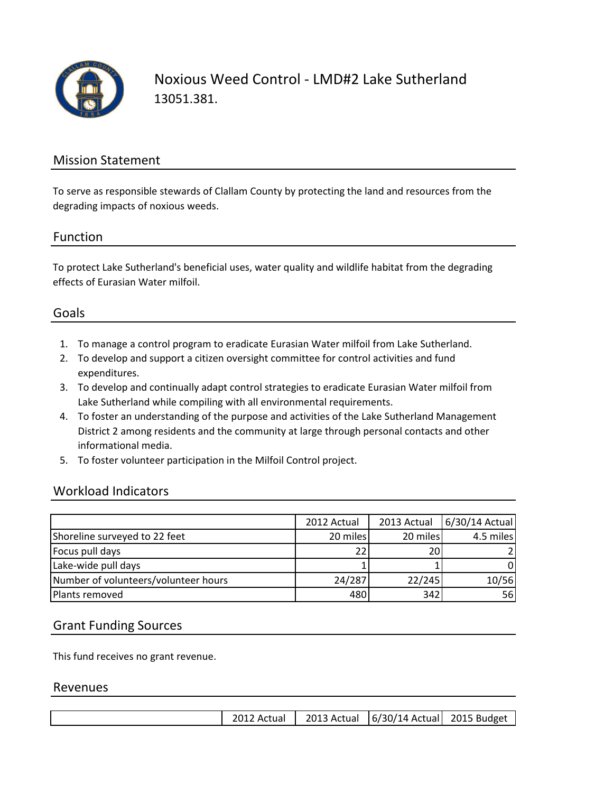

Noxious Weed Control - LMD#2 Lake Sutherland 13051.381.

## Mission Statement

To serve as responsible stewards of Clallam County by protecting the land and resources from the degrading impacts of noxious weeds.

#### Function

To protect Lake Sutherland's beneficial uses, water quality and wildlife habitat from the degrading effects of Eurasian Water milfoil.

## Goals

- 1. To manage a control program to eradicate Eurasian Water milfoil from Lake Sutherland.
- 2. To develop and support a citizen oversight committee for control activities and fund expenditures.
- 3. To develop and continually adapt control strategies to eradicate Eurasian Water milfoil from Lake Sutherland while compiling with all environmental requirements.
- 4. To foster an understanding of the purpose and activities of the Lake Sutherland Management District 2 among residents and the community at large through personal contacts and other informational media.
- 5. To foster volunteer participation in the Milfoil Control project.

#### Workload Indicators

|                                      | 2012 Actual | 2013 Actual | 6/30/14 Actual |
|--------------------------------------|-------------|-------------|----------------|
| Shoreline surveyed to 22 feet        | 20 miles    | 20 miles    | 4.5 miles      |
| Focus pull days                      | 22          | 20          |                |
| Lake-wide pull days                  |             |             |                |
| Number of volunteers/volunteer hours | 24/287      | 22/245      | 10/56          |
| Plants removed                       | 480         | 342         | 56             |

#### Grant Funding Sources

This fund receives no grant revenue.

#### Revenues

|  |  | 2012 Actual |  | 2013 Actual   6/30/14 Actual   2015 Budget |  |
|--|--|-------------|--|--------------------------------------------|--|
|--|--|-------------|--|--------------------------------------------|--|